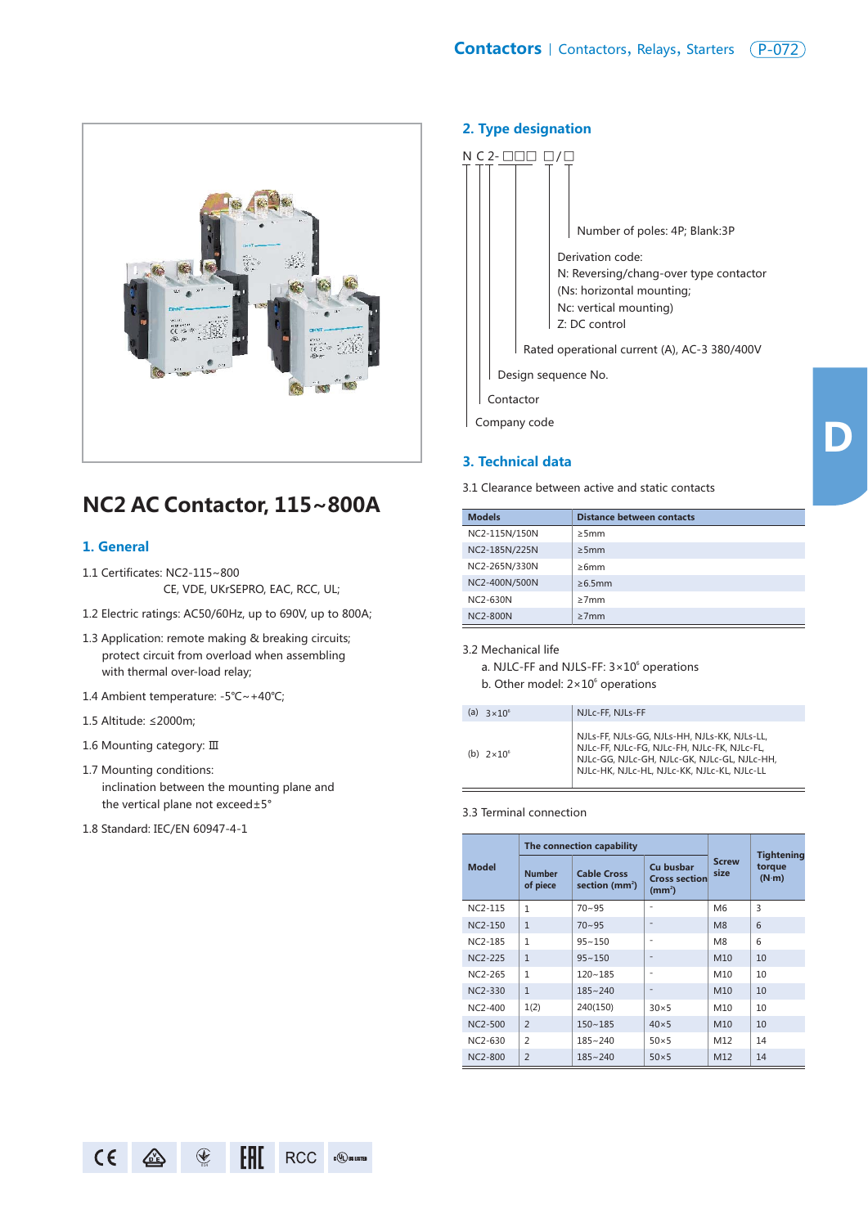

# **NC2 AC Contactor, 115~800A**

### **1. General**

- 1.1 Certificates: NC2-115~800 CE, VDE, UKrSEPRO, EAC, RCC, UL;
- 1.2 Electric ratings: AC50/60Hz, up to 690V, up to 800A;
- 1.3 Application: remote making & breaking circuits; protect circuit from overload when assembling with thermal over-load relay;
- 1.4 Ambient temperature: -5℃~+40℃;
- 1.5 Altitude: ≤2000m;
- 1.6 Mounting category: Ⅲ
- 1.7 Mounting conditions: inclination between the mounting plane and the vertical plane not exceed±5°
- 1.8 Standard: IEC/EN 60947-4-1

#### **2. Type designation**



### **3. Technical data**

3.1 Clearance between active and static contacts

| <b>Models</b>   | <b>Distance between contacts</b> |
|-----------------|----------------------------------|
| NC2-115N/150N   | >5mm                             |
| NC2-185N/225N   | >5mm                             |
| NC2-265N/330N   | >6mm                             |
| NC2-400N/500N   | $\geq 6.5$ mm                    |
| NC2-630N        | $\geq 7$ mm                      |
| <b>NC2-800N</b> | $\geq$ 7mm                       |

3.2 Mechanical life

a. NJLC-FF and NJLS-FF:  $3 \times 10^6$  operations b. Other model:  $2 \times 10^6$  operations

| $3 \times 10^6$<br>(a) | NJLc-FF, NJLs-FF                                                                                                                                                                            |
|------------------------|---------------------------------------------------------------------------------------------------------------------------------------------------------------------------------------------|
| (b) $2 \times 10^6$    | NJLs-FF, NJLs-GG, NJLs-HH, NJLs-KK, NJLs-LL,<br>NJLc-FF, NJLc-FG, NJLc-FH, NJLc-FK, NJLc-FL,<br>NJLc-GG, NJLc-GH, NJLc-GK, NJLc-GL, NJLc-HH,<br>NJLc-HK, NJLc-HL, NJLc-KK, NJLc-KL, NJLc-LL |

#### 3.3 Terminal connection

|                | The connection capability |                                                                                                    |                | <b>Tightening</b><br>torque<br>(N·m) |    |
|----------------|---------------------------|----------------------------------------------------------------------------------------------------|----------------|--------------------------------------|----|
| <b>Model</b>   | <b>Number</b><br>of piece | Cu busbar<br><b>Cable Cross</b><br><b>Cross section</b><br>section ( $mm2$ )<br>(mm <sup>2</sup> ) |                |                                      |    |
| $NC2-115$      | $\mathbf{1}$              | $70 - 95$                                                                                          | ۰              | M <sub>6</sub>                       | 3  |
| $NC2-150$      | $\mathbf{1}$              | $70 - 95$                                                                                          | $\overline{a}$ | M <sub>8</sub>                       | 6  |
| NC2-185        | $\mathbf{1}$              | $95 - 150$                                                                                         | ٠              | M <sub>8</sub>                       | 6  |
| NC2-225        | $\mathbf{1}$              | $95 - 150$                                                                                         | $\overline{a}$ | M10                                  | 10 |
| NC2-265        | 1                         | $120 - 185$                                                                                        | $\overline{a}$ | M10                                  | 10 |
| NC2-330        | $\mathbf{1}$              | $185 - 240$                                                                                        | $\overline{a}$ | M10                                  | 10 |
| $NC2-400$      | 1(2)                      | 240(150)                                                                                           | $30\times5$    | M10                                  | 10 |
| $NC2-500$      | $\overline{2}$            | $150 - 185$                                                                                        | $40\times 5$   | M10                                  | 10 |
| NC2-630        | $\overline{2}$            | $185 - 240$                                                                                        | $50\times 5$   | M12                                  | 14 |
| <b>NC2-800</b> | $\overline{2}$            | $185 - 240$                                                                                        | $50\times 5$   | M12                                  | 14 |



**D**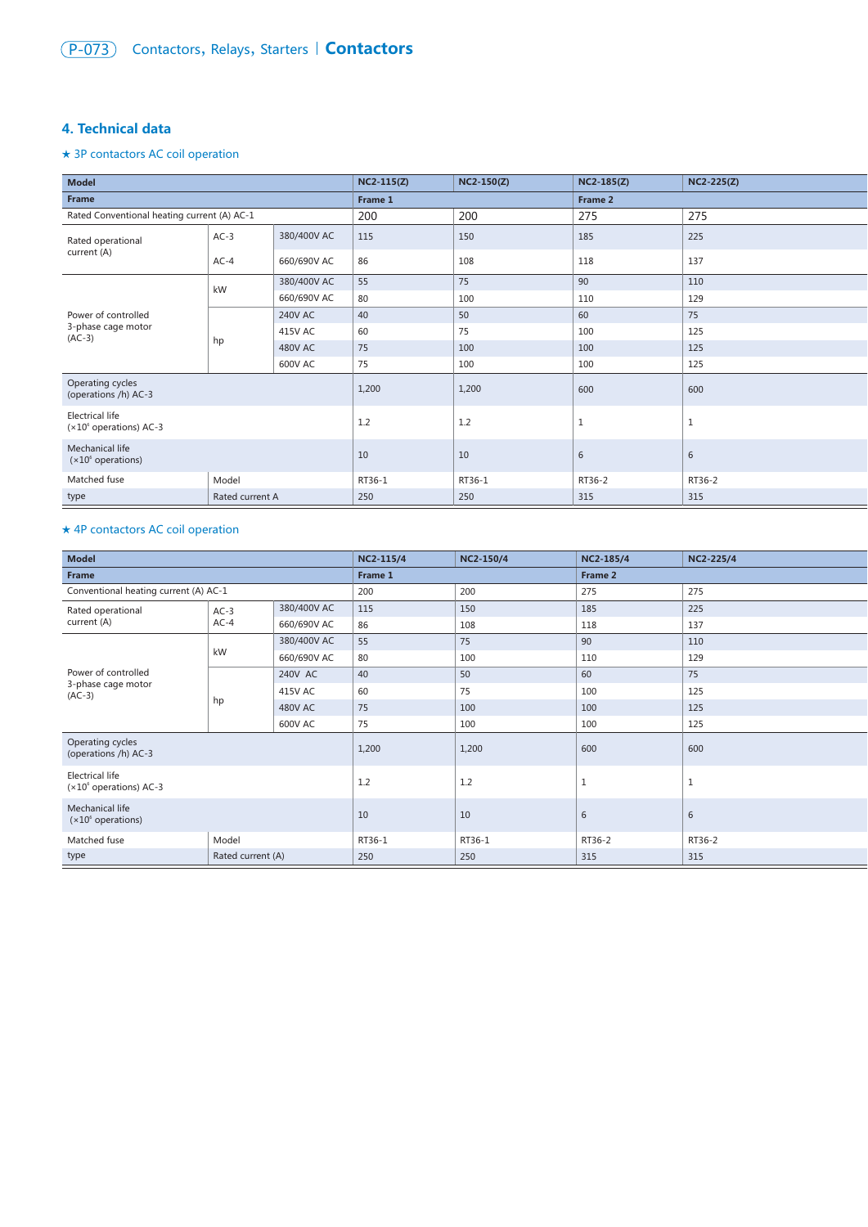### **4. Technical data**

### ★ 3P contactors AC coil operation

| <b>Model</b>                                        |                 |                | $NC2-115(Z)$ | <b>NC2-150(Z)</b> | $NC2-185(Z)$ | $NC2-225(Z)$ |
|-----------------------------------------------------|-----------------|----------------|--------------|-------------------|--------------|--------------|
| Frame                                               |                 |                | Frame 1      |                   |              |              |
| Rated Conventional heating current (A) AC-1         |                 |                | 200          | 200               | 275          | 275          |
| Rated operational                                   | $AC-3$          | 380/400V AC    | 115          | 150               | 185          | 225          |
| current (A)                                         | $AC-4$          | 660/690V AC    | 86           | 108               | 118          | 137          |
|                                                     | kW              | 380/400V AC    | 55           | 75                | 90           | 110          |
|                                                     |                 | 660/690V AC    | 80           | 100               | 110          | 129          |
| Power of controlled                                 |                 | <b>240V AC</b> | 40           | 50                | 60           | 75           |
| 3-phase cage motor<br>$(AC-3)$                      | hp              | 415V AC        | 60           | 75                | 100          | 125          |
|                                                     |                 | <b>480V AC</b> | 75           | 100               | 100          | 125          |
|                                                     |                 | <b>600V AC</b> | 75           | 100               | 100          | 125          |
| Operating cycles<br>(operations /h) AC-3            |                 | 1,200          | 1,200        | 600               | 600          |              |
| <b>Electrical life</b><br>$(x10^6$ operations) AC-3 |                 | 1.2            | 1.2          | $\,1\,$           | $\mathbf{1}$ |              |
| Mechanical life<br>$(x10^6$ operations)             |                 | 10             | 10           | 6                 | 6            |              |
| Matched fuse<br>Model                               |                 | RT36-1         | RT36-1       | RT36-2            | RT36-2       |              |
| type                                                | Rated current A |                | 250          | 250               | 315          | 315          |

### ★ 4P contactors AC coil operation

| <b>Model</b>                                        |                   | NC2-115/4      | NC2-150/4 | NC2-185/4    | <b>NC2-225/4</b> |     |
|-----------------------------------------------------|-------------------|----------------|-----------|--------------|------------------|-----|
| Frame                                               |                   |                | Frame 1   |              | Frame 2          |     |
| Conventional heating current (A) AC-1               |                   |                | 200       | 200          | 275              | 275 |
| Rated operational                                   | $AC-3$            | 380/400V AC    | 115       | 150          | 185              | 225 |
| current (A)                                         | $AC-4$            | 660/690V AC    | 86        | 108          | 118              | 137 |
|                                                     |                   | 380/400V AC    | 55        | 75           | 90               | 110 |
|                                                     | kW                | 660/690V AC    | 80        | 100          | 110              | 129 |
| Power of controlled                                 |                   | 240V AC        | 40        | 50           | 60               | 75  |
| 3-phase cage motor<br>$(AC-3)$                      | hp                | 415V AC        | 60        | 75           | 100              | 125 |
|                                                     |                   | <b>480V AC</b> | 75        | 100          | 100              | 125 |
|                                                     |                   | 600V AC        | 75        | 100          | 100              | 125 |
| Operating cycles<br>(operations /h) AC-3            |                   | 1,200          | 1,200     | 600          | 600              |     |
| <b>Electrical life</b><br>$(x10^6$ operations) AC-3 |                   | 1.2            | 1.2       | $\mathbf{1}$ | <b>T</b>         |     |
| Mechanical life<br>$(x10^6$ operations)             |                   | 10             | 10        | 6            | 6                |     |
| Model<br>Matched fuse                               |                   | RT36-1         | RT36-1    | RT36-2       | RT36-2           |     |
| type                                                | Rated current (A) |                | 250       | 250          | 315              | 315 |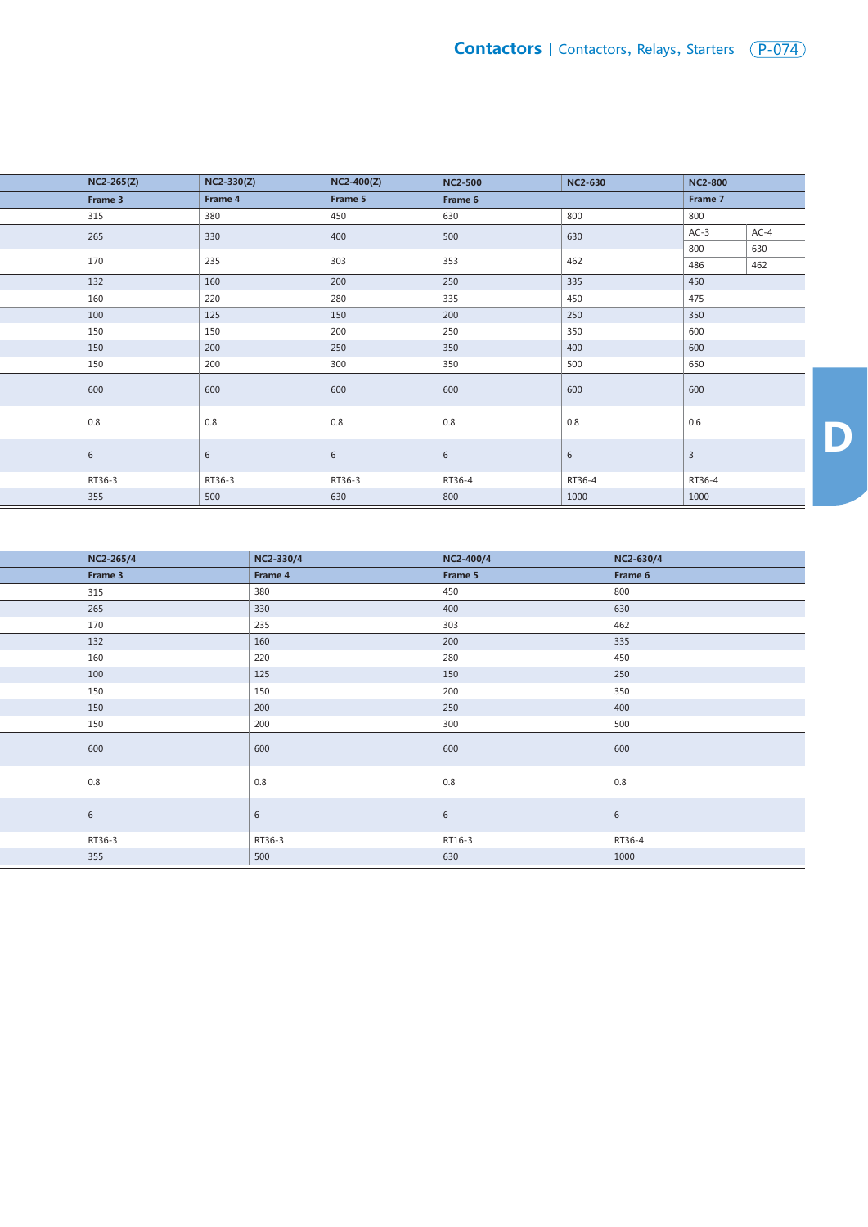| $NC2-265(Z)$ | NC2-330(Z) | $NC2-400(Z)$    | <b>NC2-500</b> | <b>NC2-630</b> | <b>NC2-800</b> |        |
|--------------|------------|-----------------|----------------|----------------|----------------|--------|
| Frame 3      | Frame 4    | Frame 5         | Frame 6        |                | Frame 7        |        |
| 315          | 380        | 450             | 630            | 800            | 800            |        |
| 265          | 330        | 400             | 500            | 630            | $AC-3$         | $AC-4$ |
|              |            |                 |                |                | 800            | 630    |
| 170          | 235        | 303             | 353            | 462            | 486            | 462    |
| 132          | 160        | 200             | 250            | 335            | 450            |        |
| 160          | 220        | 280             | 335            | 450            | 475            |        |
| 100          | 125        | 150             | 200            | 250            | 350            |        |
| 150          | 150        | 200             | 250            | 350            | 600            |        |
| 150          | 200        | 250             | 350            | 400            | 600            |        |
| 150          | 200        | 300             | 350            | 500            | 650            |        |
| 600          | 600        | 600             | 600            | 600            | 600            |        |
| $0.8\,$      | $0.8\,$    | $0.8\,$         | $0.8\,$        | 0.8            | 0.6            |        |
| 6            | $\sqrt{6}$ | $6\phantom{1}6$ | $\sqrt{6}$     | 6              | $\overline{3}$ |        |
| RT36-3       | RT36-3     | RT36-3          | RT36-4         | RT36-4         | RT36-4         |        |
| 355          | 500        | 630             | 800            | 1000           | 1000           |        |

| NC2-265/4 | NC2-330/4 | NC2-400/4  | NC2-630/4 |
|-----------|-----------|------------|-----------|
| Frame 3   | Frame 4   | Frame 5    | Frame 6   |
| 315       | 380       | 450        | 800       |
| 265       | 330       | 400        | 630       |
| 170       | 235       | 303        | 462       |
| 132       | 160       | 200        | 335       |
| 160       | 220       | 280        | 450       |
| 100       | 125       | 150        | 250       |
| 150       | 150       | 200        | 350       |
| 150       | 200       | 250        | 400       |
| 150       | 200       | 300        | 500       |
| 600       | 600       | 600        | 600       |
| 0.8       | 0.8       | 0.8        | 0.8       |
| 6         | 6         | $\sqrt{6}$ | 6         |
| RT36-3    | RT36-3    | RT16-3     | RT36-4    |
| 355       | 500       | 630        | 1000      |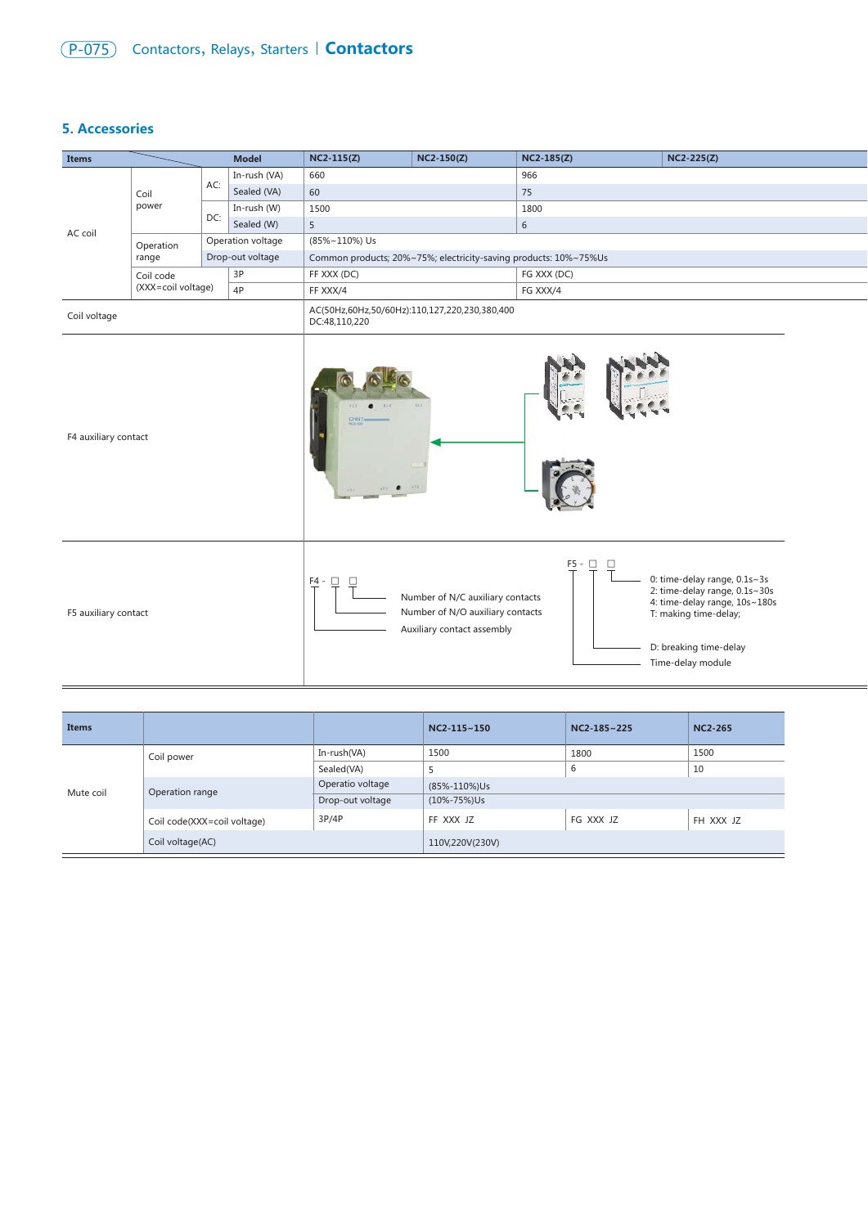# (P-075) Contactors, Relays, Starters | **Contactors**

### **5. Accessories**

| <b>Items</b>                    |           |                                                                | <b>Model</b>      | $NC2-115(Z)$                                                     | $NC2-150(Z)$ | $NC2-185(Z)$ | $NC2-225(Z)$ |  |
|---------------------------------|-----------|----------------------------------------------------------------|-------------------|------------------------------------------------------------------|--------------|--------------|--------------|--|
|                                 |           |                                                                | In-rush (VA)      | 660                                                              |              | 966          |              |  |
|                                 | Coil      | AC:                                                            | Sealed (VA)       | 60                                                               |              | 75           |              |  |
| power                           |           | In-rush (W)                                                    | 1500              |                                                                  | 1800         |              |              |  |
|                                 | DC:       | Sealed (W)                                                     | 5                 |                                                                  | 6            |              |              |  |
| AC coil                         | Operation |                                                                | Operation voltage | (85%~110%) Us                                                    |              |              |              |  |
|                                 | range     |                                                                | Drop-out voltage  | Common products; 20%~75%; electricity-saving products: 10%~75%Us |              |              |              |  |
| Coil code<br>(XXX=coil voltage) |           |                                                                | 3P                | FF XXX (DC)                                                      |              | FG XXX (DC)  |              |  |
|                                 |           |                                                                | 4P                | FF XXX/4                                                         |              | FG XXX/4     |              |  |
| Coil voltage                    |           | AC(50Hz,60Hz,50/60Hz):110,127,220,230,380,400<br>DC:48,110,220 |                   |                                                                  |              |              |              |  |



| <b>Items</b>     |                             |                  | $NC2-115-150$      | $NC2-185-225$ | <b>NC2-265</b> |  |
|------------------|-----------------------------|------------------|--------------------|---------------|----------------|--|
|                  | Coil power                  | In-rush(VA)      | 1500               | 1800          | 1500           |  |
| Mute coil        |                             | Sealed(VA)       |                    | 6             | 10             |  |
|                  | Operation range             | Operatio voltage | (85%-110%)Us       |               |                |  |
|                  |                             | Drop-out voltage | $(10\% - 75\%)$ Us |               |                |  |
|                  | Coil code(XXX=coil voltage) | 3P/4P            | FF XXX JZ          | FG XXX JZ     | FH XXX JZ      |  |
| Coil voltage(AC) |                             |                  | 110V,220V(230V)    |               |                |  |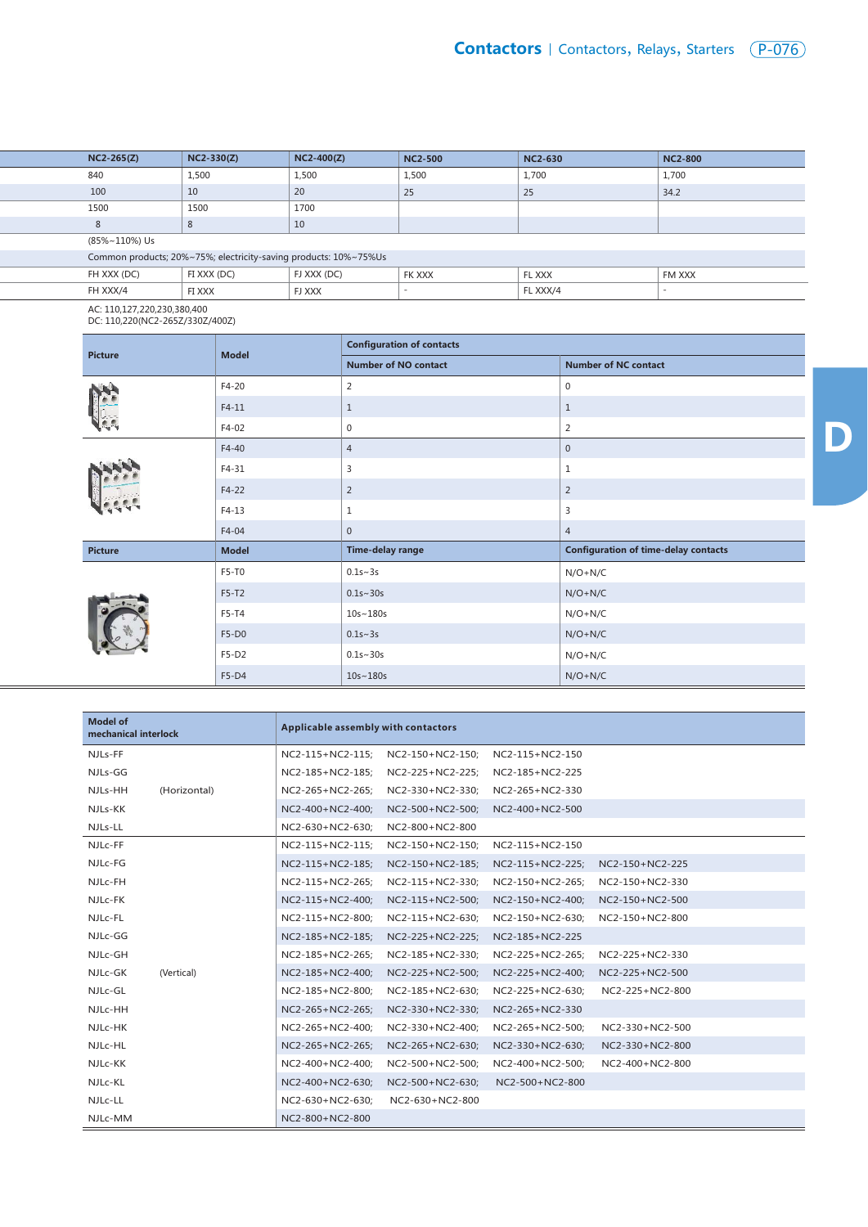| $NC2-265(Z)$                                                     | $NC2-330(Z)$ | $NC2-400(Z)$ | <b>NC2-500</b>           | <b>NC2-630</b> | <b>NC2-800</b>           |  |  |
|------------------------------------------------------------------|--------------|--------------|--------------------------|----------------|--------------------------|--|--|
| 840                                                              | 1,500        | 1,500        | 1,500                    | 1,700          | 1,700                    |  |  |
| 100                                                              | 10           | 20           | 25                       | 25             | 34.2                     |  |  |
| 1500                                                             | 1500         | 1700         |                          |                |                          |  |  |
| 8                                                                | 8            | 10           |                          |                |                          |  |  |
| (85%~110%) Us                                                    |              |              |                          |                |                          |  |  |
| Common products; 20%~75%; electricity-saving products: 10%~75%Us |              |              |                          |                |                          |  |  |
| FH XXX (DC)                                                      | FI XXX (DC)  | FJ XXX (DC)  | <b>FK XXX</b>            | FL XXX         | FM XXX                   |  |  |
| FH XXX/4                                                         | FI XXX       | FJ XXX       | $\overline{\phantom{a}}$ | FL XXX/4       | $\overline{\phantom{a}}$ |  |  |
| .                                                                |              |              |                          |                |                          |  |  |

AC: 110,127,220,230,380,400 DC: 110,220(NC2-265Z/330Z/400Z)

| <b>Picture</b> | <b>Model</b> | <b>Configuration of contacts</b> |                                             |  |  |  |
|----------------|--------------|----------------------------------|---------------------------------------------|--|--|--|
|                |              | <b>Number of NO contact</b>      | <b>Number of NC contact</b>                 |  |  |  |
|                | $F4-20$      | 2                                | $\mathbf 0$                                 |  |  |  |
|                | $F4-11$      | $\mathbf{1}$                     | $\mathbf{1}$                                |  |  |  |
|                | F4-02        | $\mathbf 0$                      | $\overline{2}$                              |  |  |  |
|                | $F4-40$      | $\overline{4}$                   | $\mathbf 0$                                 |  |  |  |
|                | $F4-31$      | 3                                | $\mathbf{1}$                                |  |  |  |
|                | $F4-22$      | 2                                | $\overline{2}$                              |  |  |  |
|                | $F4-13$      | $\mathbf{1}$                     | 3                                           |  |  |  |
|                | F4-04        | $\mathbf 0$                      | $\overline{4}$                              |  |  |  |
| <b>Picture</b> | <b>Model</b> | Time-delay range                 | <b>Configuration of time-delay contacts</b> |  |  |  |
|                | F5-T0        | $0.1s - 3s$                      | $N/O + N/C$                                 |  |  |  |
|                | $F5-T2$      | $0.1s - 30s$                     | $N/O + N/C$                                 |  |  |  |
|                | F5-T4        | $10s - 180s$                     | $N/O + N/C$                                 |  |  |  |
|                | $F5-D0$      | $0.1s - 3s$                      | $N/O + N/C$                                 |  |  |  |
|                | F5-D2        | $0.1s - 30s$                     | $N/O + N/C$                                 |  |  |  |
|                | F5-D4        | 10s~180s                         | $N/O + N/C$                                 |  |  |  |

| <b>Model of</b><br>mechanical interlock | Applicable assembly with contactors |                  |                  |                 |  |  |
|-----------------------------------------|-------------------------------------|------------------|------------------|-----------------|--|--|
| NJLs-FF                                 | NC2-115+NC2-115;                    | NC2-150+NC2-150; | NC2-115+NC2-150  |                 |  |  |
| NJLs-GG                                 | NC2-185+NC2-185;                    | NC2-225+NC2-225; | NC2-185+NC2-225  |                 |  |  |
| (Horizontal)<br>NJLs-HH                 | NC2-265+NC2-265;                    | NC2-330+NC2-330; | NC2-265+NC2-330  |                 |  |  |
| NJLs-KK                                 | NC2-400+NC2-400;                    | NC2-500+NC2-500; | NC2-400+NC2-500  |                 |  |  |
| NJLs-LL                                 | NC2-630+NC2-630;                    | NC2-800+NC2-800  |                  |                 |  |  |
| NJLc-FF                                 | NC2-115+NC2-115;                    | NC2-150+NC2-150; | NC2-115+NC2-150  |                 |  |  |
| NJLc-FG                                 | NC2-115+NC2-185;                    | NC2-150+NC2-185; | NC2-115+NC2-225; | NC2-150+NC2-225 |  |  |
| NJLc-FH                                 | NC2-115+NC2-265;                    | NC2-115+NC2-330; | NC2-150+NC2-265; | NC2-150+NC2-330 |  |  |
| NJLc-FK                                 | NC2-115+NC2-400;                    | NC2-115+NC2-500; | NC2-150+NC2-400: | NC2-150+NC2-500 |  |  |
| NJLc-FL                                 | NC2-115+NC2-800;                    | NC2-115+NC2-630; | NC2-150+NC2-630; | NC2-150+NC2-800 |  |  |
| NJLc-GG                                 | NC2-185+NC2-185;                    | NC2-225+NC2-225; | NC2-185+NC2-225  |                 |  |  |
| NJLc-GH                                 | NC2-185+NC2-265;                    | NC2-185+NC2-330; | NC2-225+NC2-265; | NC2-225+NC2-330 |  |  |
| NJLc-GK<br>(Vertical)                   | NC2-185+NC2-400;                    | NC2-225+NC2-500; | NC2-225+NC2-400; | NC2-225+NC2-500 |  |  |
| NJLc-GL                                 | NC2-185+NC2-800;                    | NC2-185+NC2-630; | NC2-225+NC2-630; | NC2-225+NC2-800 |  |  |
| NJLc-HH                                 | NC2-265+NC2-265;                    | NC2-330+NC2-330; | NC2-265+NC2-330  |                 |  |  |
| NJLc-HK                                 | NC2-265+NC2-400;                    | NC2-330+NC2-400; | NC2-265+NC2-500; | NC2-330+NC2-500 |  |  |
| NJLc-HL                                 | NC2-265+NC2-265;                    | NC2-265+NC2-630; | NC2-330+NC2-630; | NC2-330+NC2-800 |  |  |
| NJLc-KK                                 | NC2-400+NC2-400;                    | NC2-500+NC2-500; | NC2-400+NC2-500; | NC2-400+NC2-800 |  |  |
| NJLc-KL                                 | NC2-400+NC2-630;                    | NC2-500+NC2-630; | NC2-500+NC2-800  |                 |  |  |
| NJLc-LL                                 | NC2-630+NC2-630;                    | NC2-630+NC2-800  |                  |                 |  |  |
| NJLc-MM                                 | NC2-800+NC2-800                     |                  |                  |                 |  |  |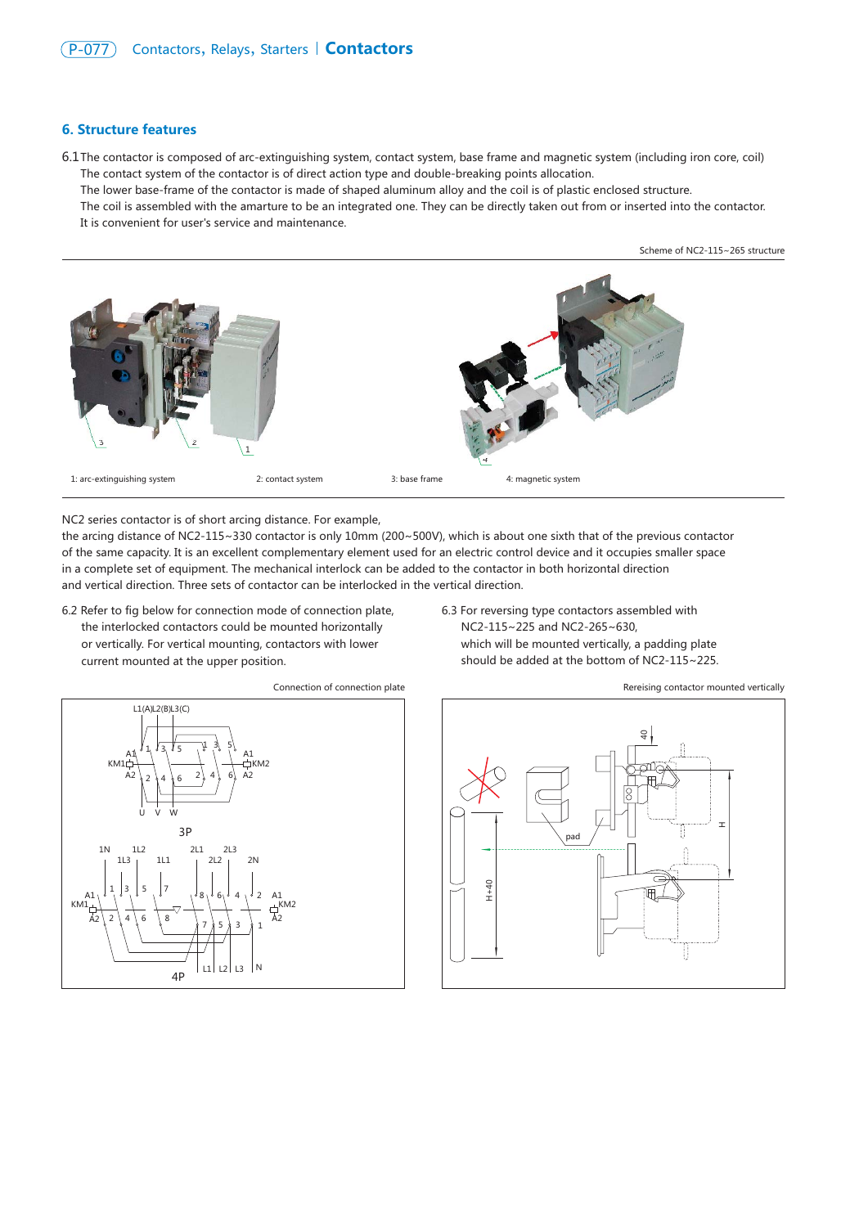#### **6. Structure features**

The contactor is composed of arc-extinguishing system, contact system, base frame and magnetic system (including iron core, coil) 6.1 The contact system of the contactor is of direct action type and double-breaking points allocation. The lower base-frame of the contactor is made of shaped aluminum alloy and the coil is of plastic enclosed structure.

The coil is assembled with the amarture to be an integrated one. They can be directly taken out from or inserted into the contactor. It is convenient for user's service and maintenance.

Scheme of NC2-115~265 structure



NC2 series contactor is of short arcing distance. For example,

the arcing distance of NC2-115~330 contactor is only 10mm (200~500V), which is about one sixth that of the previous contactor of the same capacity. It is an excellent complementary element used for an electric control device and it occupies smaller space in a complete set of equipment. The mechanical interlock can be added to the contactor in both horizontal direction and vertical direction. Three sets of contactor can be interlocked in the vertical direction.

- 6.2 Refer to fig below for connection mode of connection plate, the interlocked contactors could be mounted horizontally or vertically. For vertical mounting, contactors with lower current mounted at the upper position.
- 6.3 For reversing type contactors assembled with NC2-115~225 and NC2-265~630, which will be mounted vertically, a padding plate should be added at the bottom of NC2-115~225.



Connection of connection plate



Rereising contactor mounted vertically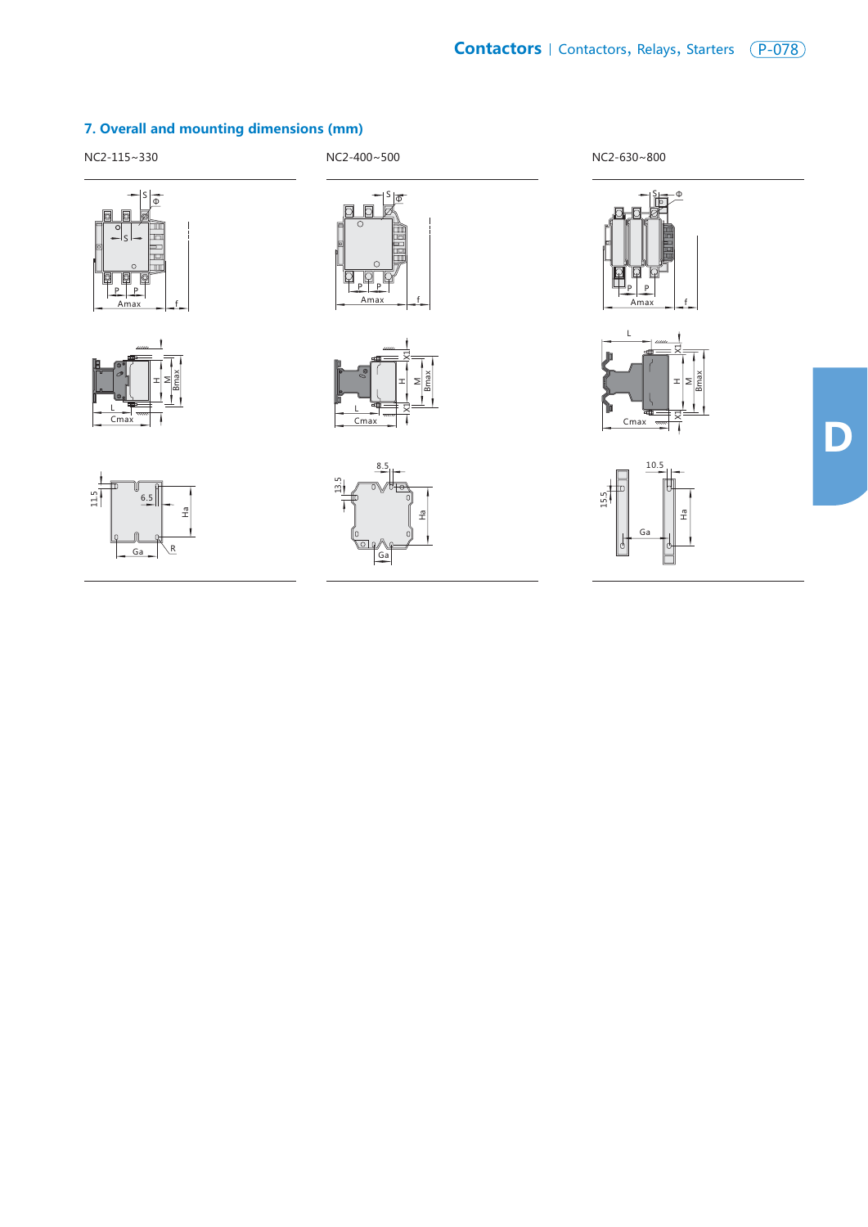











**D**

### **7. Overall and mounting dimensions (mm)**

NC2-115~330 NC2-400~500 NC2-630~800





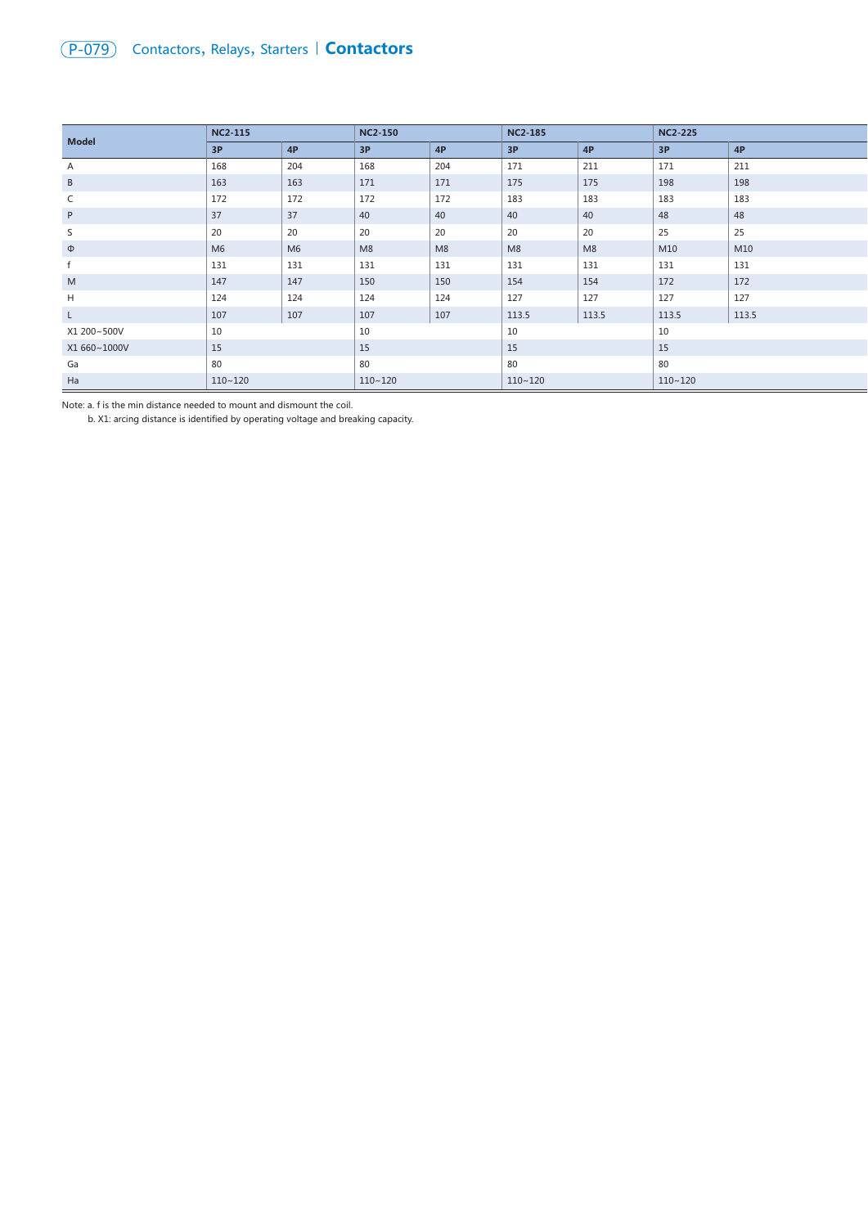# (P-079) Contactors, Relays, Starters | **Contactors**

| <b>Model</b> | <b>NC2-115</b> |                | <b>NC2-150</b> |     | <b>NC2-185</b> |                | <b>NC2-225</b> |       |
|--------------|----------------|----------------|----------------|-----|----------------|----------------|----------------|-------|
|              | 3P             | 4P             | 3P             | 4P  | 3P             | 4P             | 3P             | 4P    |
| Α            | 168            | 204            | 168            | 204 | 171            | 211            | 171            | 211   |
| B            | 163            | 163            | 171            | 171 | 175            | 175            | 198            | 198   |
| C            | 172            | 172            | 172            | 172 | 183            | 183            | 183            | 183   |
| P            | 37             | 37             | 40             | 40  | 40             | 40             | 48             | 48    |
| S            | 20             | 20             | 20             | 20  | 20             | 20             | 25             | 25    |
| $\Phi$       | M <sub>6</sub> | M <sub>6</sub> | M8             | M8  | M <sub>8</sub> | M <sub>8</sub> | M10            | M10   |
| $\mathsf{f}$ | 131            | 131            | 131            | 131 | 131            | 131            | 131            | 131   |
| M            | 147            | 147            | 150            | 150 | 154            | 154            | 172            | 172   |
| H            | 124            | 124            | 124            | 124 | 127            | 127            | 127            | 127   |
| $\mathsf{L}$ | 107            | 107            | 107            | 107 | 113.5          | 113.5          | 113.5          | 113.5 |
| X1 200~500V  | 10             |                | 10             |     | 10             |                | 10             |       |
| X1 660~1000V | 15             |                | 15             |     | 15             |                | 15             |       |
| Ga           | 80             |                | 80             |     | 80             |                | 80             |       |
| Ha           | $110 - 120$    |                | $110 - 120$    |     | $110 - 120$    |                | $110 - 120$    |       |

Note: a. f is the min distance needed to mount and dismount the coil.

b. X1: arcing distance is identified by operating voltage and breaking capacity.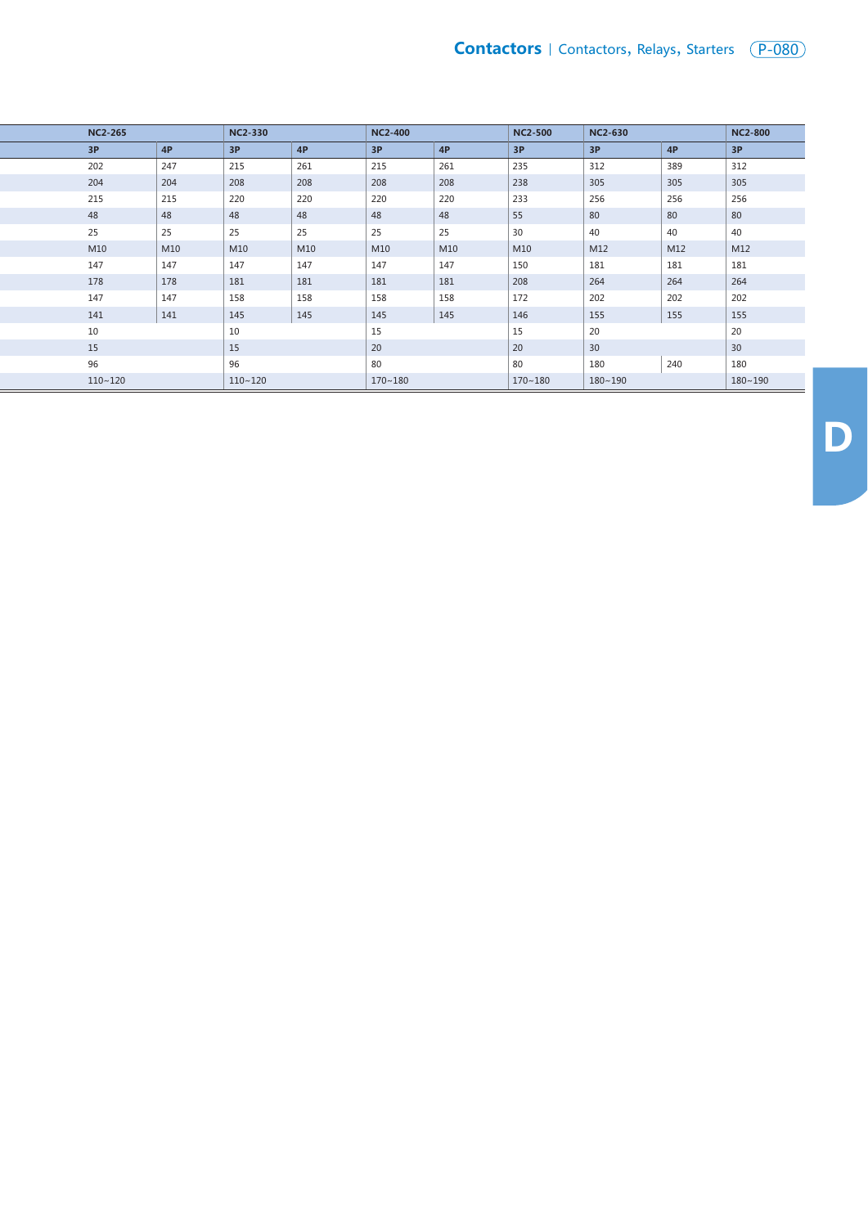| <b>NC2-265</b> |     | <b>NC2-330</b> |     | <b>NC2-400</b> |     | <b>NC2-500</b> | <b>NC2-630</b> |     | <b>NC2-800</b> |
|----------------|-----|----------------|-----|----------------|-----|----------------|----------------|-----|----------------|
| 3P             | 4P  | 3P             | 4P  | 3P             | 4P  | 3P             | 3P             | 4P  | 3P             |
| 202            | 247 | 215            | 261 | 215            | 261 | 235            | 312            | 389 | 312            |
| 204            | 204 | 208            | 208 | 208            | 208 | 238            | 305            | 305 | 305            |
| 215            | 215 | 220            | 220 | 220            | 220 | 233            | 256            | 256 | 256            |
| 48             | 48  | 48             | 48  | 48             | 48  | 55             | 80             | 80  | 80             |
| 25             | 25  | 25             | 25  | 25             | 25  | 30             | 40             | 40  | 40             |
| M10            | M10 | M10            | M10 | M10            | M10 | M10            | M12            | M12 | M12            |
| 147            | 147 | 147            | 147 | 147            | 147 | 150            | 181            | 181 | 181            |
| 178            | 178 | 181            | 181 | 181            | 181 | 208            | 264            | 264 | 264            |
| 147            | 147 | 158            | 158 | 158            | 158 | 172            | 202            | 202 | 202            |
| 141            | 141 | 145            | 145 | 145            | 145 | 146            | 155            | 155 | 155            |
| 10             |     | 10             |     | 15             |     | 15             | 20             |     | 20             |
| 15             |     | 15             |     | 20             |     | 20             | 30             |     | 30             |
| 96             |     | 96             |     | 80             |     | 80             | 180            | 240 | 180            |
| $110 - 120$    |     | $110 - 120$    |     | $170 - 180$    |     | $170 - 180$    | $180 - 190$    |     | $180 - 190$    |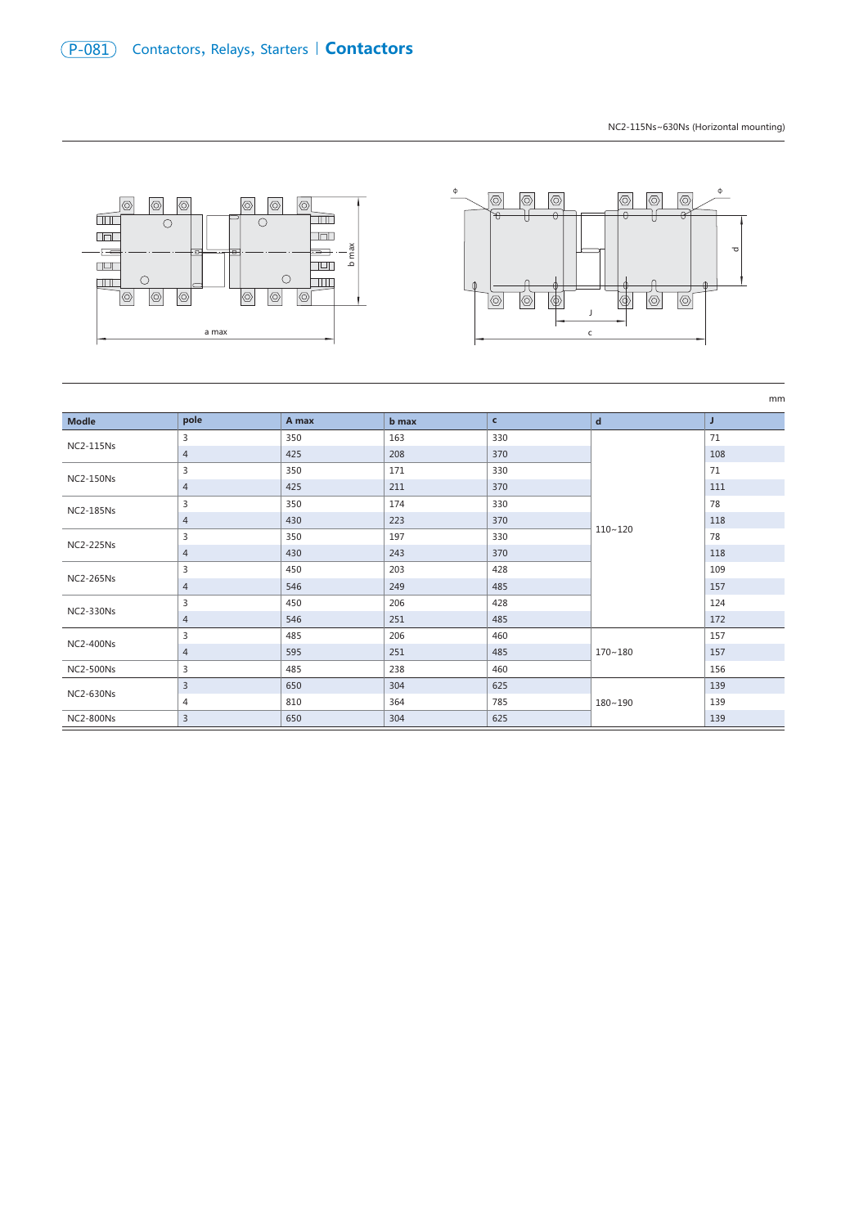NC2-115Ns~630Ns (Horizontal mounting)



|                  |                |       |       |              |             | mm  |
|------------------|----------------|-------|-------|--------------|-------------|-----|
| <b>Modle</b>     | pole           | A max | b max | $\mathbf{c}$ | $\mathbf d$ | J   |
| <b>NC2-115Ns</b> | 3              | 350   | 163   | 330          | $110 - 120$ | 71  |
|                  | 4              | 425   | 208   | 370          |             | 108 |
|                  | 3              | 350   | 171   | 330          |             | 71  |
| <b>NC2-150Ns</b> | $\overline{4}$ | 425   | 211   | 370          |             | 111 |
| <b>NC2-185Ns</b> | 3              | 350   | 174   | 330          |             | 78  |
|                  | 4              | 430   | 223   | 370          |             | 118 |
| <b>NC2-225Ns</b> | 3              | 350   | 197   | 330          |             | 78  |
|                  | 4              | 430   | 243   | 370          |             | 118 |
| <b>NC2-265Ns</b> | 3              | 450   | 203   | 428          |             | 109 |
|                  | $\overline{4}$ | 546   | 249   | 485          |             | 157 |
| <b>NC2-330Ns</b> | 3              | 450   | 206   | 428          |             | 124 |
|                  | 4              | 546   | 251   | 485          |             | 172 |
| <b>NC2-400Ns</b> | 3              | 485   | 206   | 460          |             | 157 |
|                  | 4              | 595   | 251   | 485          | $170 - 180$ | 157 |
| <b>NC2-500Ns</b> | 3              | 485   | 238   | 460          |             | 156 |
| <b>NC2-630Ns</b> | $\overline{3}$ | 650   | 304   | 625          | 180~190     | 139 |
|                  | 4              | 810   | 364   | 785          |             | 139 |
| <b>NC2-800Ns</b> | 3              | 650   | 304   | 625          |             | 139 |